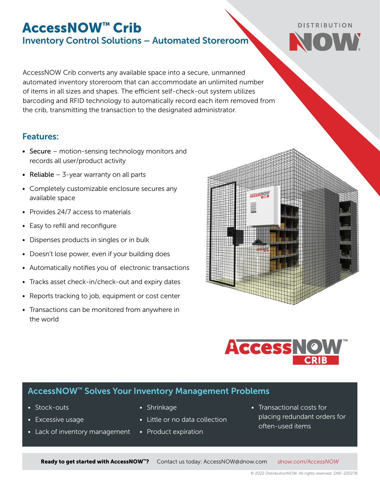## AccessNOW™ Crib Inventory Control Solutions – Automated Storeroom

AccessNOW Crib converts any available space into a secure, unmanned automated inventory storeroom that can accommodate an unlimited number of items in all sizes and shapes. The efficient self-check-out system utilizes barcoding and RFID technology to automatically record each item removed from the crib, transmitting the transaction to the designated administrator.

## Features:

- Secure motion-sensing technology monitors and records all user/product activity
- Reliable  $-$  3-year warranty on all parts
- Completely customizable enclosure secures any available space
- Provides 24/7 access to materials
- Easy to refill and reconfigure
- Dispenses products in singles or in bulk
- Doesn't lose power, even if your building does
- Automatically notifies you of electronic transactions
- Tracks asset check-in/check-out and expiry dates
- Reports tracking to job, equipment or cost center
- Transactions can be monitored from anywhere in the world



**DISTRIBUTION** 



## AccessNOW™ Solves Your Inventory Management Problems

- Stock-outs
- Excessive usage
- Lack of inventory management
- Shrinkage
- Little or no data collection
- Product expiration
- Transactional costs for placing redundant orders for often-used items

Ready to get started with AccessNOW™? Contact us today: [AccessNOW@dnow.com](mailto:AccessNOW%40dnow.com?subject=AccessNOW%20Inquiry) *[dnow.com/](https://www.dnow.com/supply-chain-services/inventory-control)AccessNOW*